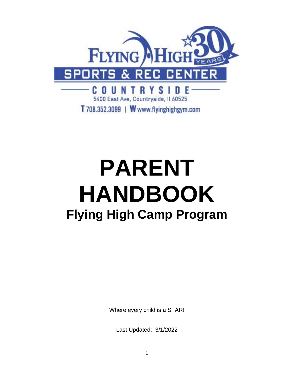

# **PARENT HANDBOOK Flying High Camp Program**

Where every child is a STAR!

Last Updated: 3/1/2022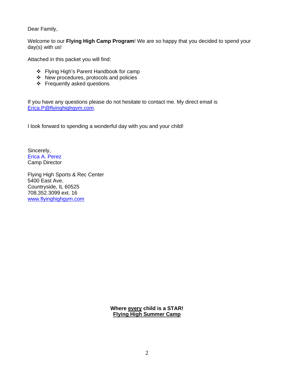Dear Family,

Welcome to our **Flying High Camp Program**! We are so happy that you decided to spend your day(s) with us!

Attached in this packet you will find:

- ❖ Flying High's Parent Handbook for camp
- ❖ New procedures, protocols and policies
- ❖ Frequently asked questions

If you have any questions please do not hesitate to contact me. My direct email is [Erica.P@flyinghighgym.com.](mailto:Erica.P@flyinghighgym.com)

I look forward to spending a wonderful day with you and your child!

Sincerely, Erica A. Perez Camp Director

Flying High Sports & Rec Center 5400 East Ave. Countryside, IL 60525 708.352.3099 ext. 16 [www.flyinghighgym.com](../../mainoffice/AppData/Local/Microsoft/Windows/Temporary%20Internet%20Files/OLK1269/www.flyinghighgym.com)

> **Where every child is a STAR! Flying High Summer Camp**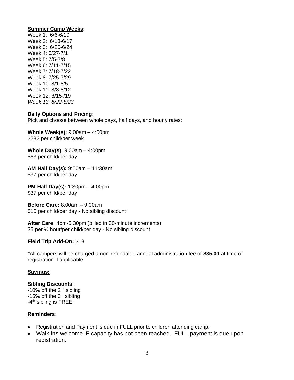## **Summer Camp Weeks:**

Week 1: 6/6-6/10 Week 2: 6/13-6/17 Week 3: 6/20-6/24 Week 4: 6/27-7/1 Week 5: 7/5-7/8 Week 6: 7/11-7/15 Week 7: 7/18-7/22 Week 8: 7/25-7/29 Week 10: 8/1-8/5 Week 11: 8/8-8/12 Week 12: 8/15-/19 *Week 13: 8/22-8/23*

## **Daily Options and Pricing:**

Pick and choose between whole days, half days, and hourly rates:

**Whole Week(s):** 9:00am – 4:00pm \$282 per child/per week

**Whole Day(s):** 9:00am – 4:00pm \$63 per child/per day

**AM Half Day(s):** 9:00am – 11:30am \$37 per child/per day

**PM Half Day(s):** 1:30pm – 4:00pm \$37 per child/per day

**Before Care:** 8:00am – 9:00am \$10 per child/per day - No sibling discount

**After Care:** 4pm-5:30pm (billed in 30-minute increments) \$5 per ½ hour/per child/per day - No sibling discount

# **Field Trip Add-On:** \$18

\*All campers will be charged a non-refundable annual administration fee of **\$35.00** at time of registration if applicable.

# **Savings:**

# **Sibling Discounts:**

-10% off the 2nd sibling -15% off the 3rd sibling -4<sup>th</sup> sibling is FREE!

# **Reminders:**

- Registration and Payment is due in FULL prior to children attending camp.
- Walk-ins welcome IF capacity has not been reached. FULL payment is due upon registration.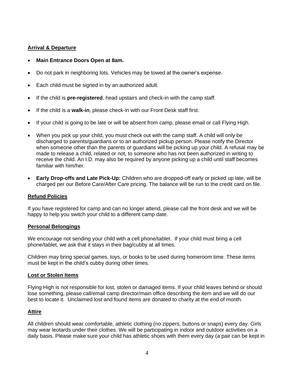## **Arrival & Departure**

## • **Main Entrance Doors Open at 8am.**

- Do not park in neighboring lots. Vehicles may be towed at the owner's expense.
- Each child must be signed in by an authorized adult.
- If the child is **pre-registered**, head upstairs and check-in with the camp staff.
- If the child is a **walk-in**, please check-in with our Front Desk staff first.
- If your child is going to be late or will be absent from camp, please email or call Flying High.
- When you pick up your child, you must check out with the camp staff. A child will only be discharged to parents/guardians or to an authorized pickup person. Please notify the Director when someone other than the parents or guardians will be picking up your child. A refusal may be made to release a child, related or not, to someone who has not been authorized in writing to receive the child. An I.D. may also be required by anyone picking up a child until staff becomes familiar with him/her.
- **Early Drop-offs and Late Pick-Up:** Children who are dropped-off early or picked up late, will be charged per our Before Care/After Care pricing. The balance will be run to the credit card on file.

## **Refund Policies**

If you have registered for camp and can no longer attend, please call the front desk and we will be happy to help you switch your child to a different camp date.

## **Personal Belongings**

We encourage not sending your child with a cell phone/tablet. If your child must bring a cell phone/tablet, we ask that it stays in their bag/cubby at all times.

Children may bring special games, toys, or books to be used during homeroom time. These items must be kept in the child's cubby during other times.

## **Lost or Stolen Items**

Flying High is not responsible for lost, stolen or damaged items. If your child leaves behind or should lose something, please call/email camp director/main office describing the item and we will do our best to locate it. Unclaimed lost and found items are donated to charity at the end of month.

## **Attire**

All children should wear comfortable, athletic clothing (no zippers, buttons or snaps) every day. Girls may wear leotards under their clothes. We will be participating in indoor and outdoor activities on a daily basis. Please make sure your child has athletic shoes with them every day (a pair can be kept in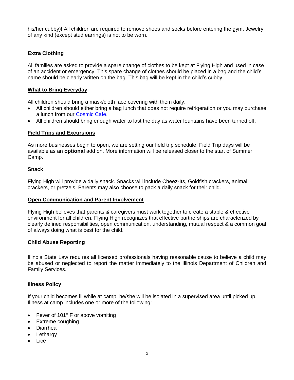his/her cubby)! All children are required to remove shoes and socks before entering the gym. Jewelry of any kind (except stud earrings) is not to be worn.

# **Extra Clothing**

All families are asked to provide a spare change of clothes to be kept at Flying High and used in case of an accident or emergency. This spare change of clothes should be placed in a bag and the child's name should be clearly written on the bag. This bag will be kept in the child's cubby.

# **What to Bring Everyday**

All children should bring a mask/cloth face covering with them daily.

- All children should either bring a bag lunch that does not require refrigeration or you may purchase a lunch from our [Cosmic Cafe.](https://docs.google.com/forms/d/e/1FAIpQLSfWFZmMdPY18NKaX_pLx8kVgB0diHSi_F1U9nZ5z1LRwf_V0g/viewform)
- All children should bring enough water to last the day as water fountains have been turned off.

# **Field Trips and Excursions**

As more businesses begin to open, we are setting our field trip schedule. Field Trip days will be available as an **optional** add on. More information will be released closer to the start of Summer Camp.

# **Snack**

Flying High will provide a daily snack. Snacks will include Cheez-Its, Goldfish crackers, animal crackers, or pretzels. Parents may also choose to pack a daily snack for their child.

## **Open Communication and Parent Involvement**

Flying High believes that parents & caregivers must work together to create a stable & effective environment for all children. Flying High recognizes that effective partnerships are characterized by clearly defined responsibilities, open communication, understanding, mutual respect & a common goal of always doing what is best for the child.

## **Child Abuse Reporting**

Illinois State Law requires all licensed professionals having reasonable cause to believe a child may be abused or neglected to report the matter immediately to the Illinois Department of Children and Family Services.

## **Illness Policy**

If your child becomes ill while at camp, he/she will be isolated in a supervised area until picked up. Illness at camp includes one or more of the following:

- Fever of 101° F or above vomiting
- Extreme coughing
- Diarrhea
- Lethargy
- Lice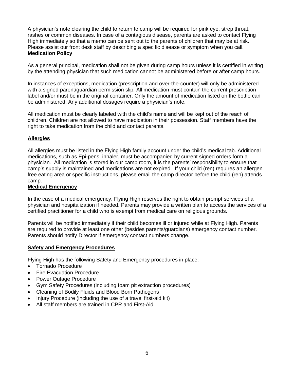A physician's note clearing the child to return to camp will be required for pink eye, strep throat, rashes or common diseases. In case of a contagious disease, parents are asked to contact Flying High immediately so that a memo can be sent out to the parents of children that may be at risk. Please assist our front desk staff by describing a specific disease or symptom when you call. **Medication Policy**

As a general principal, medication shall not be given during camp hours unless it is certified in writing by the attending physician that such medication cannot be administered before or after camp hours.

In instances of exceptions, medication (prescription and over-the-counter) will only be administered with a signed parent/guardian permission slip. All medication must contain the current prescription label and/or must be in the original container. Only the amount of medication listed on the bottle can be administered. Any additional dosages require a physician's note.

All medication must be clearly labeled with the child's name and will be kept out of the reach of children. Children are not allowed to have medication in their possession. Staff members have the right to take medication from the child and contact parents.

# **Allergies**

All allergies must be listed in the Flying High family account under the child's medical tab. Additional medications, such as Epi-pens, inhaler, must be accompanied by current signed orders form a physician. All medication is stored in our camp room, it is the parents' responsibility to ensure that camp's supply is maintained and medications are not expired. If your child (ren) requires an allergen free eating area or specific instructions, please email the camp director before the child (ren) attends camp.

## **Medical Emergency**

In the case of a medical emergency, Flying High reserves the right to obtain prompt services of a physician and hospitalization if needed. Parents may provide a written plan to access the services of a certified practitioner for a child who is exempt from medical care on religious grounds.

Parents will be notified immediately if their child becomes ill or injured while at Flying High. Parents are required to provide at least one other (besides parents/guardians) emergency contact number. Parents should notify Director if emergency contact numbers change.

# **Safety and Emergency Procedures**

Flying High has the following Safety and Emergency procedures in place:

- Tornado Procedure
- Fire Evacuation Procedure
- Power Outage Procedure
- Gym Safety Procedures (including foam pit extraction procedures)
- Cleaning of Bodily Fluids and Blood Born Pathogens
- Injury Procedure (including the use of a travel first-aid kit)
- All staff members are trained in CPR and First-Aid